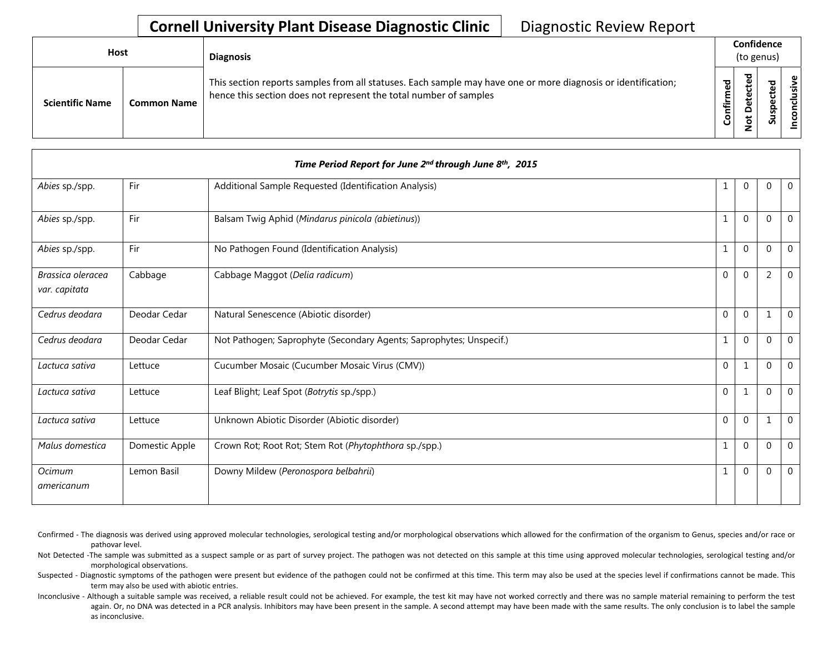## **Cornell University Plant Disease Diagnostic Clinic** | Diagnostic Review Report

| Host                   |                    | <b>Diagnosis</b>                                                                                                                                                                   |                    | Confidence<br>(to genus)                                    |                  |                     |
|------------------------|--------------------|------------------------------------------------------------------------------------------------------------------------------------------------------------------------------------|--------------------|-------------------------------------------------------------|------------------|---------------------|
| <b>Scientific Name</b> | <b>Common Name</b> | This section reports samples from all statuses. Each sample may have one or more diagnosis or identification;<br>hence this section does not represent the total number of samples | ЪЪ<br>Ē<br>Confiri | ठ<br>$\mathbf{v}$<br>ಕ<br>Φ<br>٥<br>٥<br>پ<br>Ó<br><b>c</b> | ᇴ<br>ပ<br>v<br>S | ഄ<br>usiv<br>ত<br>S |

|                                    |                | Time Period Report for June 2nd through June 8th, 2015              |                |                |             |              |
|------------------------------------|----------------|---------------------------------------------------------------------|----------------|----------------|-------------|--------------|
| Abies sp./spp.                     | Fir            | Additional Sample Requested (Identification Analysis)               | 1              | $\mathbf 0$    | 0           | $\mathbf{0}$ |
| Abies sp./spp.                     | Fir            | Balsam Twig Aphid (Mindarus pinicola (abietinus))                   | $\mathbf{1}$   | $\overline{0}$ | $\mathbf 0$ | $\mathbf 0$  |
| Abies sp./spp.                     | Fir            | No Pathogen Found (Identification Analysis)                         | 1              | $\Omega$       | $\Omega$    | $\mathbf{0}$ |
| Brassica oleracea<br>var. capitata | Cabbage        | Cabbage Maggot (Delia radicum)                                      | $\Omega$       | $\Omega$       | 2           | $\mathbf 0$  |
| Cedrus deodara                     | Deodar Cedar   | Natural Senescence (Abiotic disorder)                               | $\overline{0}$ | $\mathbf 0$    | 1           | $\mathbf 0$  |
| Cedrus deodara                     | Deodar Cedar   | Not Pathogen; Saprophyte (Secondary Agents; Saprophytes; Unspecif.) | $\mathbf{1}$   | $\mathbf 0$    | $\mathbf 0$ | $\mathbf{0}$ |
| Lactuca sativa                     | Lettuce        | Cucumber Mosaic (Cucumber Mosaic Virus (CMV))                       | $\mathbf{0}$   | $\mathbf{1}$   | $\Omega$    | $\mathbf 0$  |
| Lactuca sativa                     | Lettuce        | Leaf Blight; Leaf Spot (Botrytis sp./spp.)                          | $\mathbf{0}$   | 1              | $\mathbf 0$ | $\mathbf 0$  |
| Lactuca sativa                     | Lettuce        | Unknown Abiotic Disorder (Abiotic disorder)                         | $\Omega$       | $\Omega$       | 1           | $\mathbf 0$  |
| Malus domestica                    | Domestic Apple | Crown Rot; Root Rot; Stem Rot (Phytophthora sp./spp.)               | $\mathbf{1}$   | $\Omega$       | $\Omega$    | $\mathbf{0}$ |
| Ocimum<br>americanum               | Lemon Basil    | Downy Mildew (Peronospora belbahrii)                                | $\mathbf{1}$   | $\mathbf 0$    | $\mathbf 0$ | $\mathbf{0}$ |

Confirmed - The diagnosis was derived using approved molecular technologies, serological testing and/or morphological observations which allowed for the confirmation of the organism to Genus, species and/or race or pathovar level.

Not Detected -The sample was submitted as a suspect sample or as part of survey project. The pathogen was not detected on this sample at this time using approved molecular technologies, serological testing and/or morphological observations.

Suspected - Diagnostic symptoms of the pathogen were present but evidence of the pathogen could not be confirmed at this time. This term may also be used at the species level if confirmations cannot be made. This term may also be used with abiotic entries.

Inconclusive - Although a suitable sample was received, a reliable result could not be achieved. For example, the test kit may have not worked correctly and there was no sample material remaining to perform the test again. Or, no DNA was detected in a PCR analysis. Inhibitors may have been present in the sample. A second attempt may have been made with the same results. The only conclusion is to label the sample as inconclusive.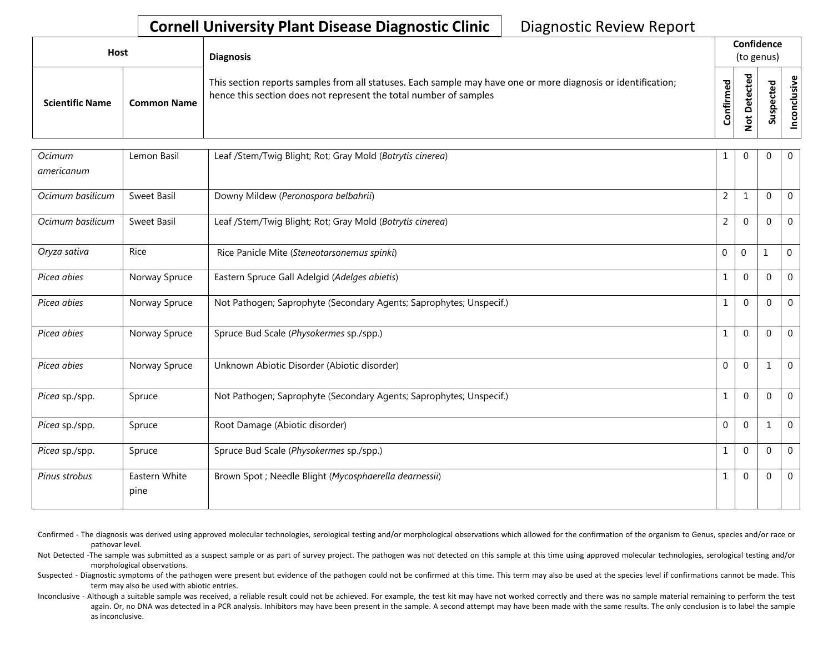## **Cornell University Plant Disease Diagnostic Clinic** | Diagnostic Review Report

| <b>Host</b>            |                    | <b>Diagnosis</b>                                                                                                                                                                   |             | Confidence<br>(to genus) |                                   |  |
|------------------------|--------------------|------------------------------------------------------------------------------------------------------------------------------------------------------------------------------------|-------------|--------------------------|-----------------------------------|--|
| <b>Scientific Name</b> | <b>Common Name</b> | This section reports samples from all statuses. Each sample may have one or more diagnosis or identification;<br>hence this section does not represent the total number of samples | ᅙ<br>₩<br>۰ | _                        | ω<br>ω<br>요<br><b>S</b><br>۔<br>S |  |

| Ocimum<br>americanum | Lemon Basil           | Leaf /Stem/Twig Blight; Rot; Gray Mold (Botrytis cinerea)           | 1              | $\Omega$       | $\Omega$       | 0            |
|----------------------|-----------------------|---------------------------------------------------------------------|----------------|----------------|----------------|--------------|
| Ocimum basilicum     | Sweet Basil           | Downy Mildew (Peronospora belbahrii)                                | $\overline{2}$ | $\mathbf{1}$   | $\mathbf 0$    | $\mathbf{0}$ |
| Ocimum basilicum     | Sweet Basil           | Leaf /Stem/Twig Blight; Rot; Gray Mold (Botrytis cinerea)           | $\overline{2}$ | $\Omega$       | $\Omega$       | $\mathbf{0}$ |
| Oryza sativa         | <b>Rice</b>           | Rice Panicle Mite (Steneotarsonemus spinki)                         | $\mathbf 0$    | $\overline{0}$ | $\mathbf{1}$   | $\Omega$     |
| Picea abies          | Norway Spruce         | Eastern Spruce Gall Adelgid (Adelges abietis)                       | $\mathbf{1}$   | $\mathbf 0$    | $\mathbf 0$    | $\mathbf 0$  |
| Picea abies          | Norway Spruce         | Not Pathogen; Saprophyte (Secondary Agents; Saprophytes; Unspecif.) | $\mathbf{1}$   | $\Omega$       | $\mathbf 0$    | $\mathbf{0}$ |
| Picea abies          | Norway Spruce         | Spruce Bud Scale (Physokermes sp./spp.)                             | $\mathbf{1}$   | $\Omega$       | $\Omega$       | $\Omega$     |
| Picea abies          | Norway Spruce         | Unknown Abiotic Disorder (Abiotic disorder)                         | $\Omega$       | $\overline{0}$ | 1              | $\mathbf{0}$ |
| Picea sp./spp.       | Spruce                | Not Pathogen; Saprophyte (Secondary Agents; Saprophytes; Unspecif.) | $\mathbf{1}$   | $\mathbf{0}$   | $\mathbf 0$    | $\mathbf{0}$ |
| Picea sp./spp.       | Spruce                | Root Damage (Abiotic disorder)                                      | $\Omega$       | $\Omega$       | 1              | $\mathbf{0}$ |
| Picea sp./spp.       | Spruce                | Spruce Bud Scale (Physokermes sp./spp.)                             | 1              | $\Omega$       | $\mathbf 0$    | $\mathbf 0$  |
| Pinus strobus        | Eastern White<br>pine | Brown Spot ; Needle Blight (Mycosphaerella dearnessii)              | $\mathbf{1}$   | $\Omega$       | $\overline{0}$ | $\mathbf{0}$ |

Confirmed - The diagnosis was derived using approved molecular technologies, serological testing and/or morphological observations which allowed for the confirmation of the organism to Genus, species and/or race or pathovar level.

Not Detected -The sample was submitted as a suspect sample or as part of survey project. The pathogen was not detected on this sample at this time using approved molecular technologies, serological testing and/or morphological observations.

Suspected - Diagnostic symptoms of the pathogen were present but evidence of the pathogen could not be confirmed at this time. This term may also be used at the species level if confirmations cannot be made. This term may also be used with abiotic entries.

Inconclusive - Although a suitable sample was received, a reliable result could not be achieved. For example, the test kit may have not worked correctly and there was no sample material remaining to perform the test again. Or, no DNA was detected in a PCR analysis. Inhibitors may have been present in the sample. A second attempt may have been made with the same results. The only conclusion is to label the sample as inconclusive.